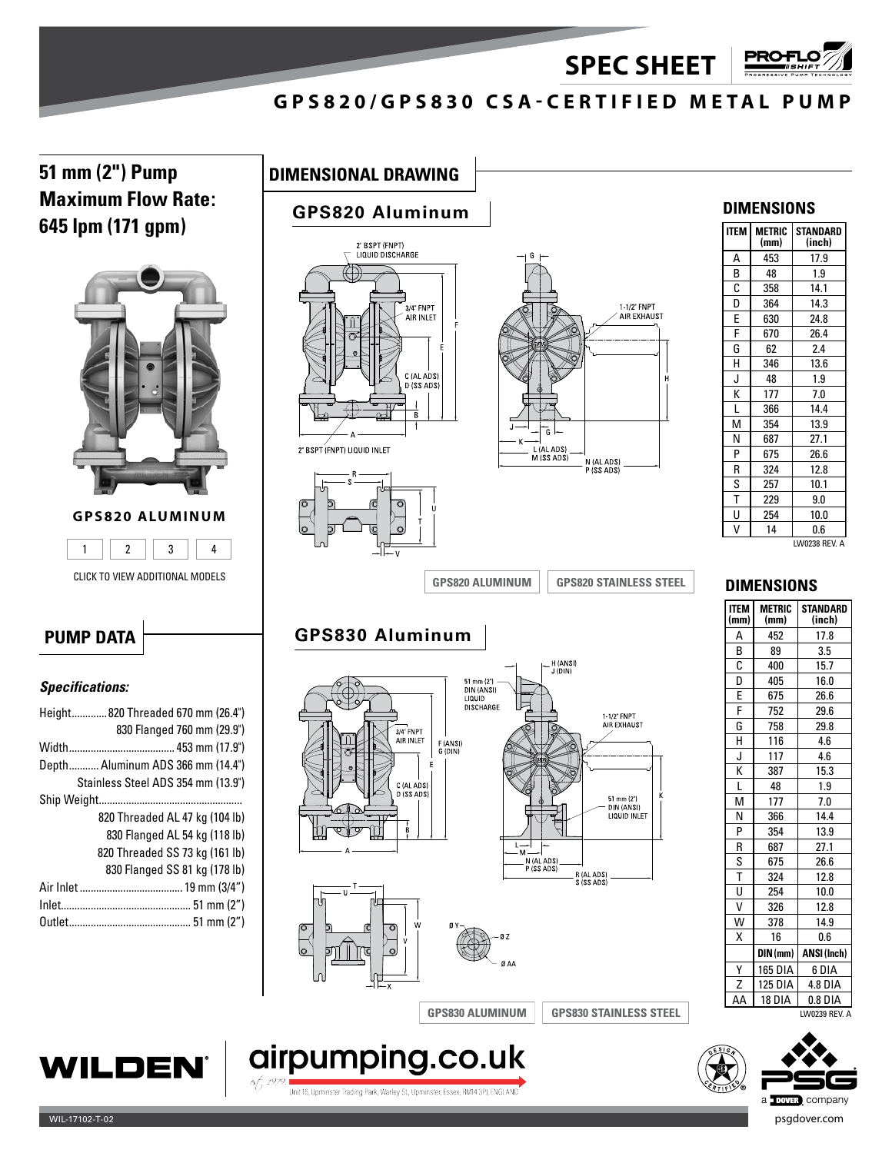**SPEC SHEET**

## **GPS820/GPS830 CSA-CERTIFIED METAL PUMP**

**51 mm (2") Pump DIMENSIONAL DRAWING Maximum Flow Rate: 645 lpm (171 gpm)**



### **GPS820 ALUMINUM**



CLICK TO VIEW ADDITIONAL MODELS

# **GPS820 Aluminum**





**GPS830 Aluminum**



### **DIMENSIONS**

**PRO+** 

| <b>ITEM</b> | <b>METRIC</b><br>(mm) | <b>STANDARD</b><br>(inch) |
|-------------|-----------------------|---------------------------|
| А           | 453                   | 17.9                      |
| В           | 48                    | 1.9                       |
| С           | 358                   | 14.1                      |
| D           | 364                   | 14.3                      |
| E           | 630                   | 24.8                      |
| F           | 670                   | 26.4                      |
| G           | 62                    | 2.4                       |
| н           | 346                   | 13.6                      |
| J           | 48                    | 1.9                       |
| K           | 177                   | 7.0                       |
| L           | 366                   | 14.4                      |
| М           | 354                   | 13.9                      |
| N           | 687                   | 27.1                      |
| P           | 675                   | 26.6                      |
| R           | 324                   | 12.8                      |
| S           | 257                   | 10.1                      |
| T           | 229                   | 9.0                       |
| U           | 254                   | 10.0                      |
| V           | 14                    | 0.6                       |

LW0238 REV. A

**STANDARD (inch)**

**DIMENSIONS**

**METRIC (mm)**

A 452 17.8 B 89 3.5<br>C 400 15.7 400 15.7 D 405 16.0 E 675 26.6 F 752 29.6 G 758 29.8 H 116 4.6 J 117 4.6  $K$  387 15.3 L 48 1.9 M 177 7.0<br>N 366 14.4 N 366 14.4 P 354 13.9 R 687 27.1 S 675 26.6 T 324 12.8  $U$  254 10.0 V 326 12.8 W 378 14.9 X 16 0.6 **DIN (mm) ANSI (Inch)** <u>Y | 165 DIA | 6 DIA<br>Z | 125 DIA | 4.8 DIA</u> 125 DIA 4.8 DIA AA 18 DIA 0.8 DIA

**ITEM (mm)**

# **PUMP DATA**

### *Specifications:*

|  | Height820 Threaded 670 mm (26.4")  |  |  |
|--|------------------------------------|--|--|
|  | 830 Flanged 760 mm (29.9")         |  |  |
|  |                                    |  |  |
|  | Depth Aluminum ADS 366 mm (14.4")  |  |  |
|  | Stainless Steel ADS 354 mm (13.9") |  |  |
|  |                                    |  |  |
|  | 820 Threaded AL 47 kg (104 lb)     |  |  |
|  | 830 Flanged AL 54 kg (118 lb)      |  |  |
|  | 820 Threaded SS 73 kg (161 lb)     |  |  |
|  | 830 Flanged SS 81 kg (178 lb)      |  |  |
|  |                                    |  |  |
|  |                                    |  |  |
|  |                                    |  |  |
|  |                                    |  |  |

# **GPS820 ALUMINUM GPS820 STAINLESS STEEL**<br> **GRAME CONSEQUENCE CONSEQUENCE CONSEQUENCE**<br> **CONSEQUENCE CONSEQUENCE**<br> **CONSEQUENCE CONSEQUENCE CONSEQUENCE CONSEQUENCE CONSEQUENCE CONSEQUENCE CONSEQUENCE CONSEQUENCE CONSEQUEN** LICE TO WEN ADDROITIONAL MODELS<br>
LECTO WEN ADDROITIONAL MODELS<br>
LECTO WEN ADDROITIONAL MODELS<br>
LECTO WEN ADDROITION AND REV.<br>
LECTO WEN ADDROITION AND REV.<br>
LECTO WENT ADDROITION AND REV.<br>
LECTO WENT ADDROITION AND REV.<br>







Unit 16, Upminster Trading Park, Warley St., Upminster, Essex, RM14 3PJ, ENGLAND

airpumping.co.uk